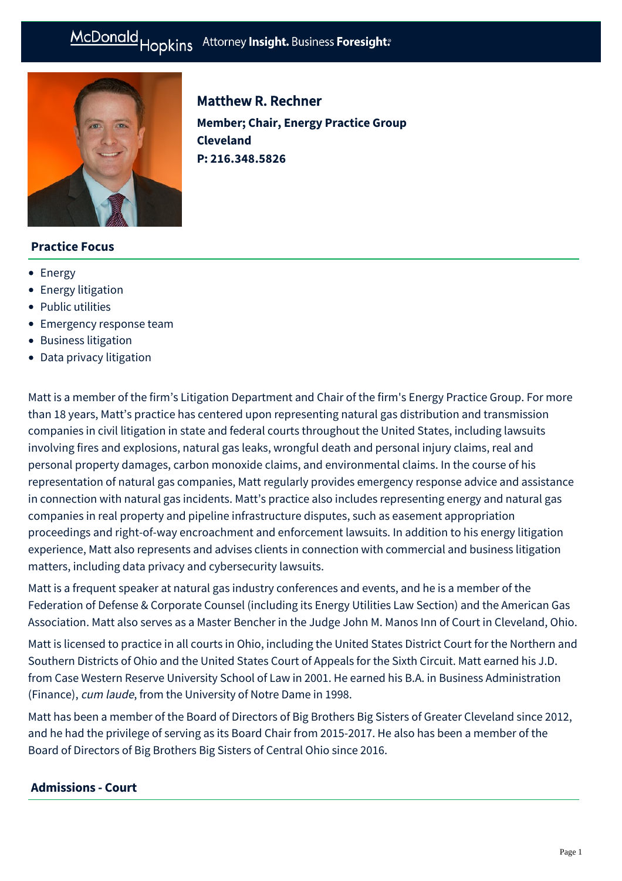# McDonald Hopkins Attorney Insight. Business Foresight:



## Matthew R. Rechner **Member; Chair, Energy Practice Group Cleveland P: [216.348.5826](tel:216.348.5826)**

## **Practice Focus**

- [Energy](https://mcdonaldhopkins.com/Expertise/Energy)
- [Energy litigation](https://mcdonaldhopkins.com/Expertise/Litigation/Energy-litigation)
- [Public utilities](https://mcdonaldhopkins.com/Expertise/Energy/Public-utilities)
- [Emergency response team](https://mcdonaldhopkins.com/Expertise/Energy/Emergency-response-team)
- [Business litigation](https://mcdonaldhopkins.com/Expertise/Litigation/Business-litigation)
- [Data privacy litigation](https://mcdonaldhopkins.com/Expertise/Data-privacy-and-cybersecurity/Data-privacy-litigation)

Matt is a member of the firm's Litigation Department and Chair of the firm's Energy Practice Group. For more than 18 years, Matt's practice has centered upon representing natural gas distribution and transmission companies in civil litigation in state and federal courts throughout the United States, including lawsuits involving fires and explosions, natural gas leaks, wrongful death and personal injury claims, real and personal property damages, carbon monoxide claims, and environmental claims. In the course of his representation of natural gas companies, Matt regularly provides emergency response advice and assistance in connection with natural gas incidents. Matt's practice also includes representing energy and natural gas companies in real property and pipeline infrastructure disputes, such as easement appropriation proceedings and right-of-way encroachment and enforcement lawsuits. In addition to his energy litigation experience, Matt also represents and advises clients in connection with commercial and business litigation matters, including data privacy and cybersecurity lawsuits.

Matt is a frequent speaker at natural gas industry conferences and events, and he is a member of the Federation of Defense & Corporate Counsel (including its Energy Utilities Law Section) and the American Gas Association. Matt also serves as a Master Bencher in the Judge John M. Manos Inn of Court in Cleveland, Ohio.

Matt is licensed to practice in all courts in Ohio, including the United States District Court for the Northern and Southern Districts of Ohio and the United States Court of Appeals for the Sixth Circuit. Matt earned his J.D. from Case Western Reserve University School of Law in 2001. He earned his B.A. in Business Administration (Finance), cum laude, from the University of Notre Dame in 1998.

Matt has been a member of the Board of Directors of Big Brothers Big Sisters of Greater Cleveland since 2012, and he had the privilege of serving as its Board Chair from 2015-2017. He also has been a member of the Board of Directors of Big Brothers Big Sisters of Central Ohio since 2016.

## **Admissions - Court**